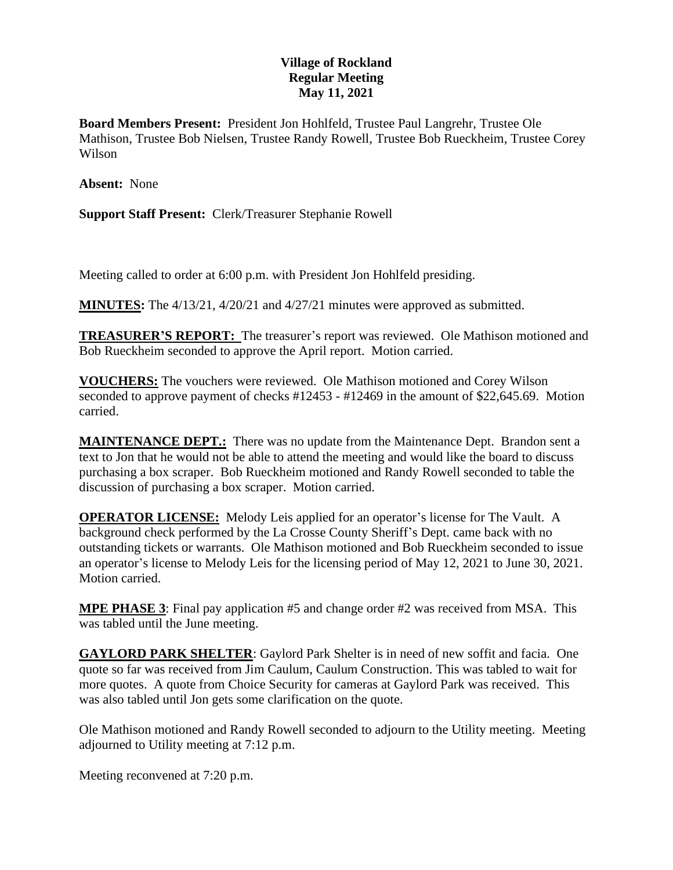## **Village of Rockland Regular Meeting May 11, 2021**

**Board Members Present:** President Jon Hohlfeld, Trustee Paul Langrehr, Trustee Ole Mathison, Trustee Bob Nielsen, Trustee Randy Rowell, Trustee Bob Rueckheim, Trustee Corey Wilson

**Absent:** None

**Support Staff Present:** Clerk/Treasurer Stephanie Rowell

Meeting called to order at 6:00 p.m. with President Jon Hohlfeld presiding.

**MINUTES:** The 4/13/21, 4/20/21 and 4/27/21 minutes were approved as submitted.

**TREASURER'S REPORT:** The treasurer's report was reviewed. Ole Mathison motioned and Bob Rueckheim seconded to approve the April report. Motion carried.

**VOUCHERS:** The vouchers were reviewed. Ole Mathison motioned and Corey Wilson seconded to approve payment of checks #12453 - #12469 in the amount of \$22,645.69. Motion carried.

**MAINTENANCE DEPT.:** There was no update from the Maintenance Dept. Brandon sent a text to Jon that he would not be able to attend the meeting and would like the board to discuss purchasing a box scraper. Bob Rueckheim motioned and Randy Rowell seconded to table the discussion of purchasing a box scraper. Motion carried.

**OPERATOR LICENSE:** Melody Leis applied for an operator's license for The Vault. A background check performed by the La Crosse County Sheriff's Dept. came back with no outstanding tickets or warrants. Ole Mathison motioned and Bob Rueckheim seconded to issue an operator's license to Melody Leis for the licensing period of May 12, 2021 to June 30, 2021. Motion carried.

**MPE PHASE 3**: Final pay application #5 and change order #2 was received from MSA. This was tabled until the June meeting.

**GAYLORD PARK SHELTER**: Gaylord Park Shelter is in need of new soffit and facia. One quote so far was received from Jim Caulum, Caulum Construction. This was tabled to wait for more quotes. A quote from Choice Security for cameras at Gaylord Park was received. This was also tabled until Jon gets some clarification on the quote.

Ole Mathison motioned and Randy Rowell seconded to adjourn to the Utility meeting. Meeting adjourned to Utility meeting at 7:12 p.m.

Meeting reconvened at 7:20 p.m.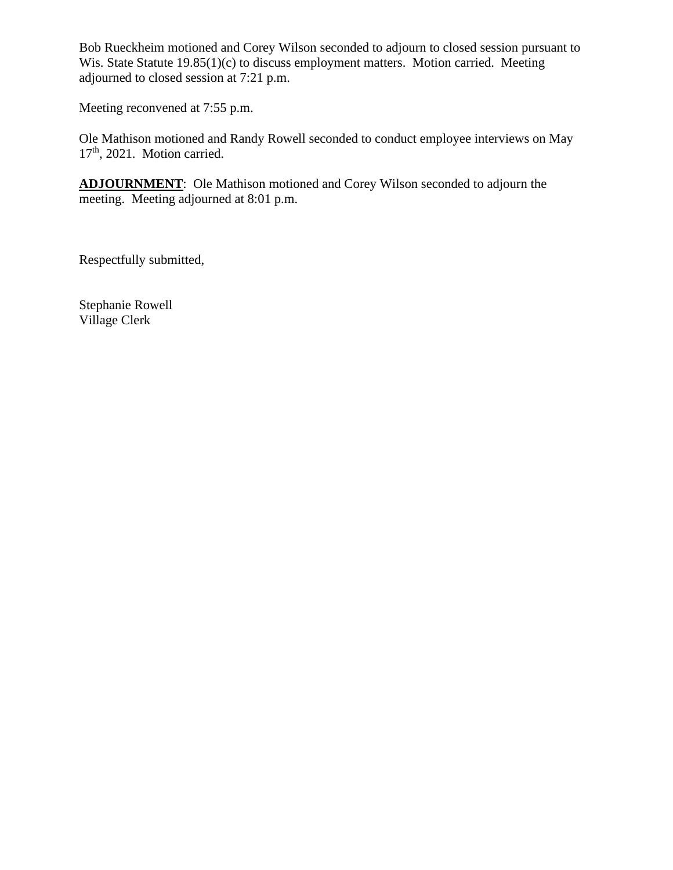Bob Rueckheim motioned and Corey Wilson seconded to adjourn to closed session pursuant to Wis. State Statute 19.85(1)(c) to discuss employment matters. Motion carried. Meeting adjourned to closed session at 7:21 p.m.

Meeting reconvened at 7:55 p.m.

Ole Mathison motioned and Randy Rowell seconded to conduct employee interviews on May 17<sup>th</sup>, 2021. Motion carried.

**ADJOURNMENT**: Ole Mathison motioned and Corey Wilson seconded to adjourn the meeting. Meeting adjourned at 8:01 p.m.

Respectfully submitted,

Stephanie Rowell Village Clerk